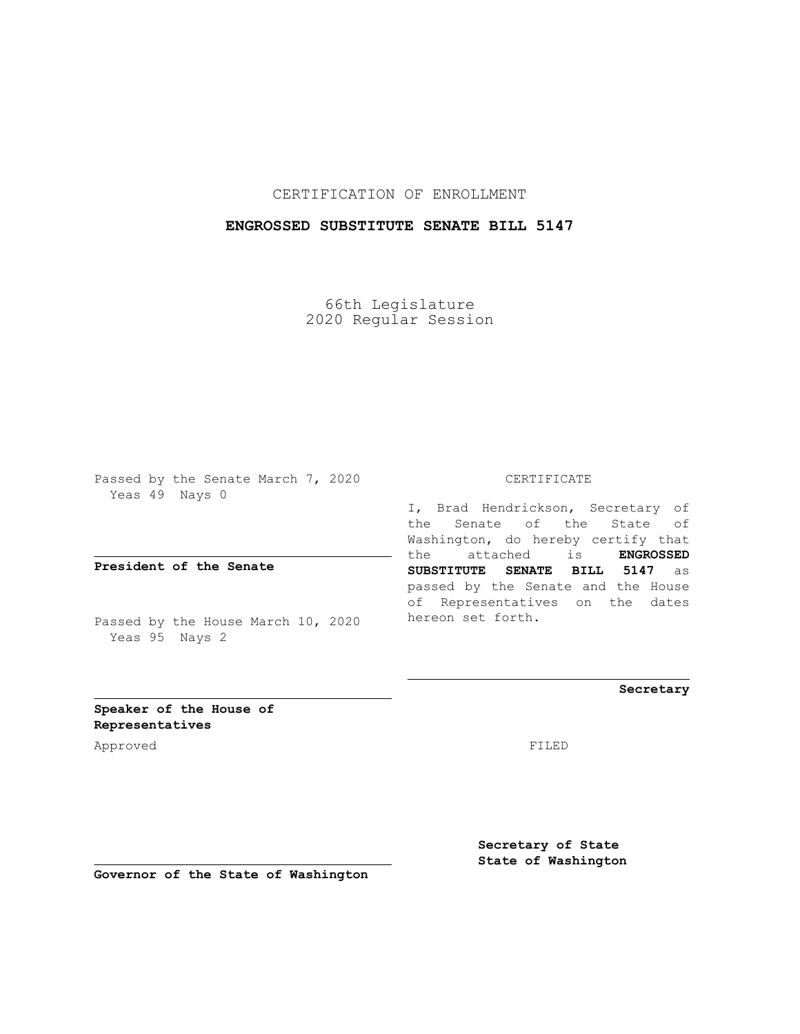CERTIFICATION OF ENROLLMENT

## **ENGROSSED SUBSTITUTE SENATE BILL 5147**

66th Legislature 2020 Regular Session

Passed by the Senate March 7, 2020 Yeas 49 Nays 0

**President of the Senate**

Passed by the House March 10, 2020 Yeas 95 Nays 2

CERTIFICATE

I, Brad Hendrickson, Secretary of the Senate of the State of Washington, do hereby certify that the attached is **ENGROSSED SUBSTITUTE SENATE BILL 5147** as passed by the Senate and the House of Representatives on the dates hereon set forth.

**Secretary**

**Speaker of the House of Representatives**

Approved FILED

**Secretary of State State of Washington**

**Governor of the State of Washington**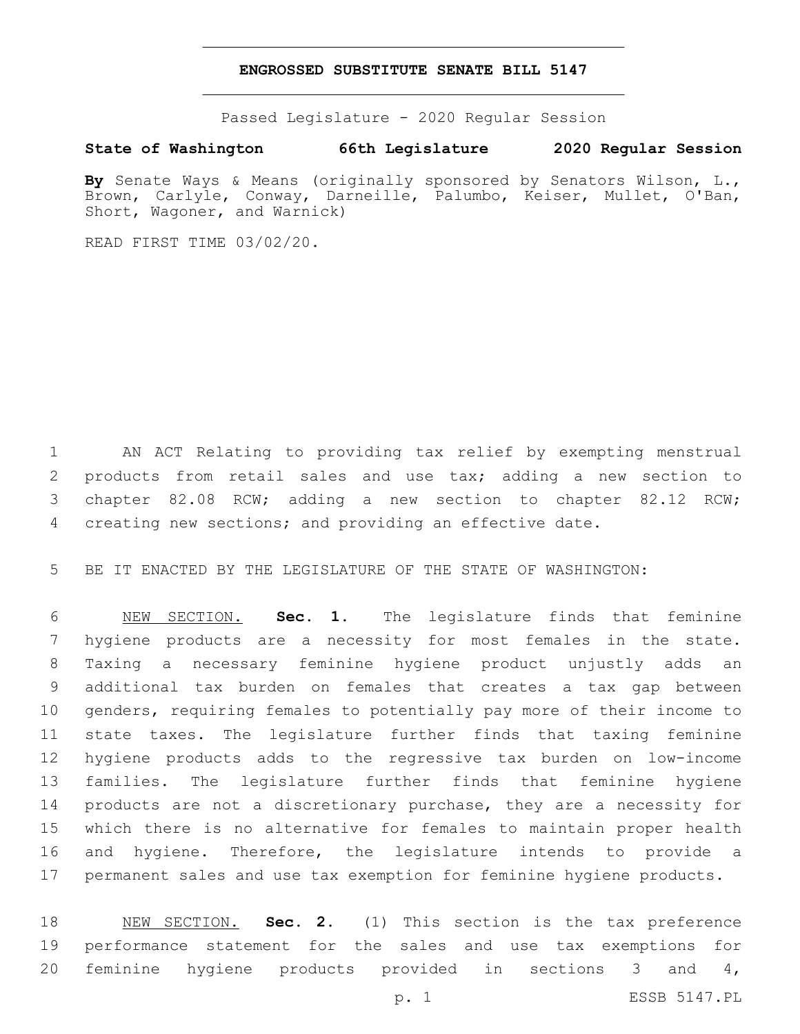## **ENGROSSED SUBSTITUTE SENATE BILL 5147**

Passed Legislature - 2020 Regular Session

## **State of Washington 66th Legislature 2020 Regular Session**

**By** Senate Ways & Means (originally sponsored by Senators Wilson, L., Brown, Carlyle, Conway, Darneille, Palumbo, Keiser, Mullet, O'Ban, Short, Wagoner, and Warnick)

READ FIRST TIME 03/02/20.

 AN ACT Relating to providing tax relief by exempting menstrual products from retail sales and use tax; adding a new section to chapter 82.08 RCW; adding a new section to chapter 82.12 RCW; creating new sections; and providing an effective date.

BE IT ENACTED BY THE LEGISLATURE OF THE STATE OF WASHINGTON:

 NEW SECTION. **Sec. 1.** The legislature finds that feminine hygiene products are a necessity for most females in the state. Taxing a necessary feminine hygiene product unjustly adds an additional tax burden on females that creates a tax gap between genders, requiring females to potentially pay more of their income to state taxes. The legislature further finds that taxing feminine hygiene products adds to the regressive tax burden on low-income families. The legislature further finds that feminine hygiene products are not a discretionary purchase, they are a necessity for which there is no alternative for females to maintain proper health and hygiene. Therefore, the legislature intends to provide a permanent sales and use tax exemption for feminine hygiene products.

 NEW SECTION. **Sec. 2.** (1) This section is the tax preference performance statement for the sales and use tax exemptions for feminine hygiene products provided in sections 3 and 4,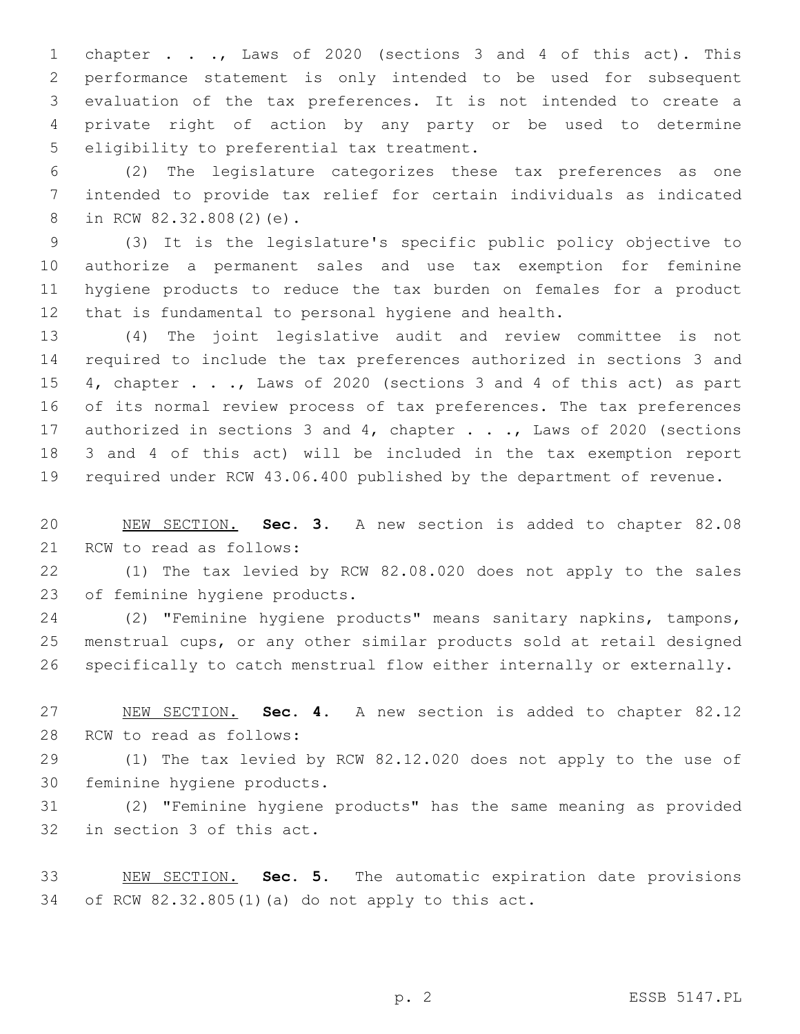chapter . . ., Laws of 2020 (sections 3 and 4 of this act). This performance statement is only intended to be used for subsequent evaluation of the tax preferences. It is not intended to create a private right of action by any party or be used to determine 5 eligibility to preferential tax treatment.

 (2) The legislature categorizes these tax preferences as one intended to provide tax relief for certain individuals as indicated 8 in RCW 82.32.808(2)(e).

 (3) It is the legislature's specific public policy objective to authorize a permanent sales and use tax exemption for feminine hygiene products to reduce the tax burden on females for a product that is fundamental to personal hygiene and health.

 (4) The joint legislative audit and review committee is not required to include the tax preferences authorized in sections 3 and 15 4, chapter . . ., Laws of 2020 (sections 3 and 4 of this act) as part of its normal review process of tax preferences. The tax preferences 17 authorized in sections 3 and 4, chapter . . ., Laws of 2020 (sections 3 and 4 of this act) will be included in the tax exemption report required under RCW 43.06.400 published by the department of revenue.

 NEW SECTION. **Sec. 3.** A new section is added to chapter 82.08 21 RCW to read as follows:

 (1) The tax levied by RCW 82.08.020 does not apply to the sales 23 of feminine hygiene products.

 (2) "Feminine hygiene products" means sanitary napkins, tampons, menstrual cups, or any other similar products sold at retail designed specifically to catch menstrual flow either internally or externally.

 NEW SECTION. **Sec. 4.** A new section is added to chapter 82.12 28 RCW to read as follows:

 (1) The tax levied by RCW 82.12.020 does not apply to the use of 30 feminine hygiene products.

 (2) "Feminine hygiene products" has the same meaning as provided 32 in section 3 of this act.

 NEW SECTION. **Sec. 5.** The automatic expiration date provisions of RCW 82.32.805(1)(a) do not apply to this act.